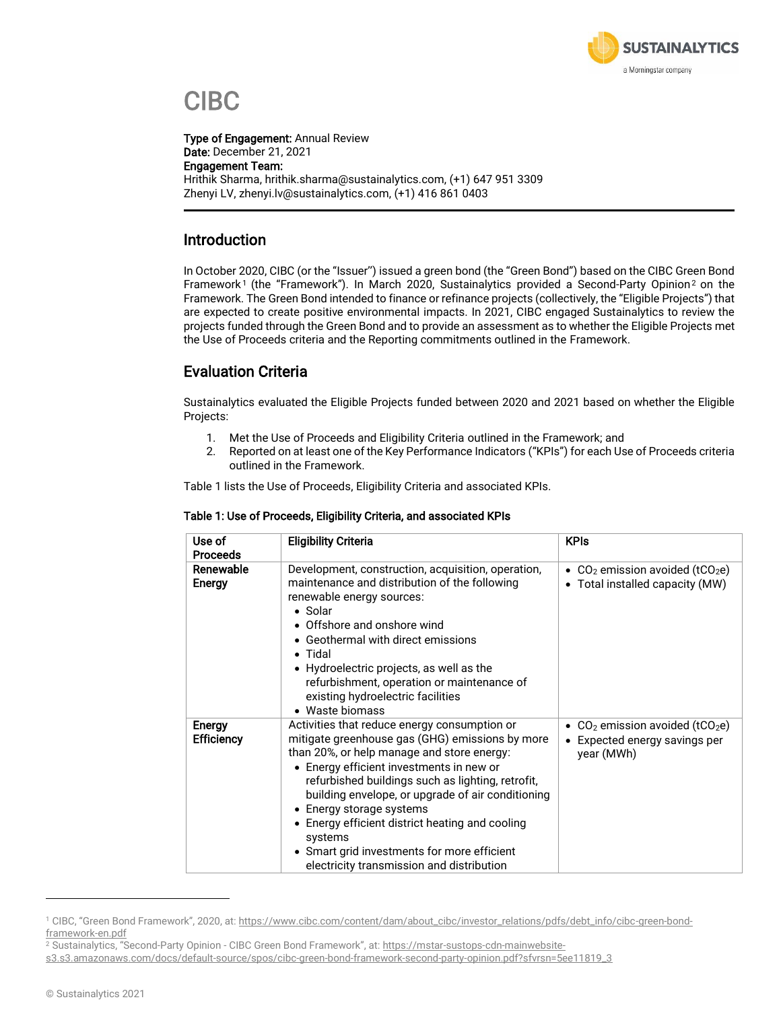

# CIBC

Type of Engagement: Annual Review Date: December 21, 2021 Engagement Team: Hrithik Sharma, hrithik.sharma@sustainalytics.com, (+1) 647 951 3309 Zhenyi LV, zhenyi.lv@sustainalytics.com, (+1) 416 861 0403

### Introduction

In October 2020, CIBC (or the "Issuer'') issued a green bond (the "Green Bond") based on the CIBC Green Bond Framework<sup>1</sup> (the "Framework"). In March 2020, Sustainalytics provided a Second-Party Opinion<sup>2</sup> on the Framework. The Green Bond intended to finance or refinance projects (collectively, the "Eligible Projects") that are expected to create positive environmental impacts. In 2021, CIBC engaged Sustainalytics to review the projects funded through the Green Bond and to provide an assessment as to whether the Eligible Projects met the Use of Proceeds criteria and the Reporting commitments outlined in the Framework.

### Evaluation Criteria

Sustainalytics evaluated the Eligible Projects funded between 2020 and 2021 based on whether the Eligible Projects:

- 1. Met the Use of Proceeds and Eligibility Criteria outlined in the Framework; and
- 2. Reported on at least one of the Key Performance Indicators ("KPIs") for each Use of Proceeds criteria outlined in the Framework.

Table 1 lists the Use of Proceeds, Eligibility Criteria and associated KPIs.

| Use of<br><b>Proceeds</b>   | <b>Eligibility Criteria</b>                                                                                                                                                                                                                                                                                                                                                                                                                                                               | <b>KPIs</b>                                                                                             |
|-----------------------------|-------------------------------------------------------------------------------------------------------------------------------------------------------------------------------------------------------------------------------------------------------------------------------------------------------------------------------------------------------------------------------------------------------------------------------------------------------------------------------------------|---------------------------------------------------------------------------------------------------------|
| Renewable<br>Energy         | Development, construction, acquisition, operation,<br>maintenance and distribution of the following<br>renewable energy sources:<br>• Solar<br>• Offshore and onshore wind<br>• Geothermal with direct emissions<br>$\bullet$ Tidal<br>• Hydroelectric projects, as well as the<br>refurbishment, operation or maintenance of<br>existing hydroelectric facilities<br>• Waste biomass                                                                                                     | • $CO2$ emission avoided (tCO <sub>2</sub> e)<br>Total installed capacity (MW)<br>$\bullet$             |
| Energy<br><b>Efficiency</b> | Activities that reduce energy consumption or<br>mitigate greenhouse gas (GHG) emissions by more<br>than 20%, or help manage and store energy:<br>• Energy efficient investments in new or<br>refurbished buildings such as lighting, retrofit,<br>building envelope, or upgrade of air conditioning<br>• Energy storage systems<br>• Energy efficient district heating and cooling<br>systems<br>• Smart grid investments for more efficient<br>electricity transmission and distribution | • $CO2$ emission avoided (tCO <sub>2</sub> e)<br>Expected energy savings per<br>$\bullet$<br>year (MWh) |

#### Table 1: Use of Proceeds, Eligibility Criteria, and associated KPIs

<sup>1</sup> CIBC, "Green Bond Framework", 2020, at: [https://www.cibc.com/content/dam/about\\_cibc/investor\\_relations/pdfs/debt\\_info/cibc-green-bond](https://www.cibc.com/content/dam/about_cibc/investor_relations/pdfs/debt_info/cibc-green-bond-framework-en.pdf)[framework-en.pdf](https://www.cibc.com/content/dam/about_cibc/investor_relations/pdfs/debt_info/cibc-green-bond-framework-en.pdf)

<sup>2</sup> Sustainalytics, "Second-Party Opinion - CIBC Green Bond Framework", at: [https://mstar-sustops-cdn-mainwebsite-](https://mstar-sustops-cdn-mainwebsite-s3.s3.amazonaws.com/docs/default-source/spos/cibc-green-bond-framework-second-party-opinion.pdf?sfvrsn=5ee11819_3)

[s3.s3.amazonaws.com/docs/default-source/spos/cibc-green-bond-framework-second-party-opinion.pdf?sfvrsn=5ee11819\\_3](https://mstar-sustops-cdn-mainwebsite-s3.s3.amazonaws.com/docs/default-source/spos/cibc-green-bond-framework-second-party-opinion.pdf?sfvrsn=5ee11819_3)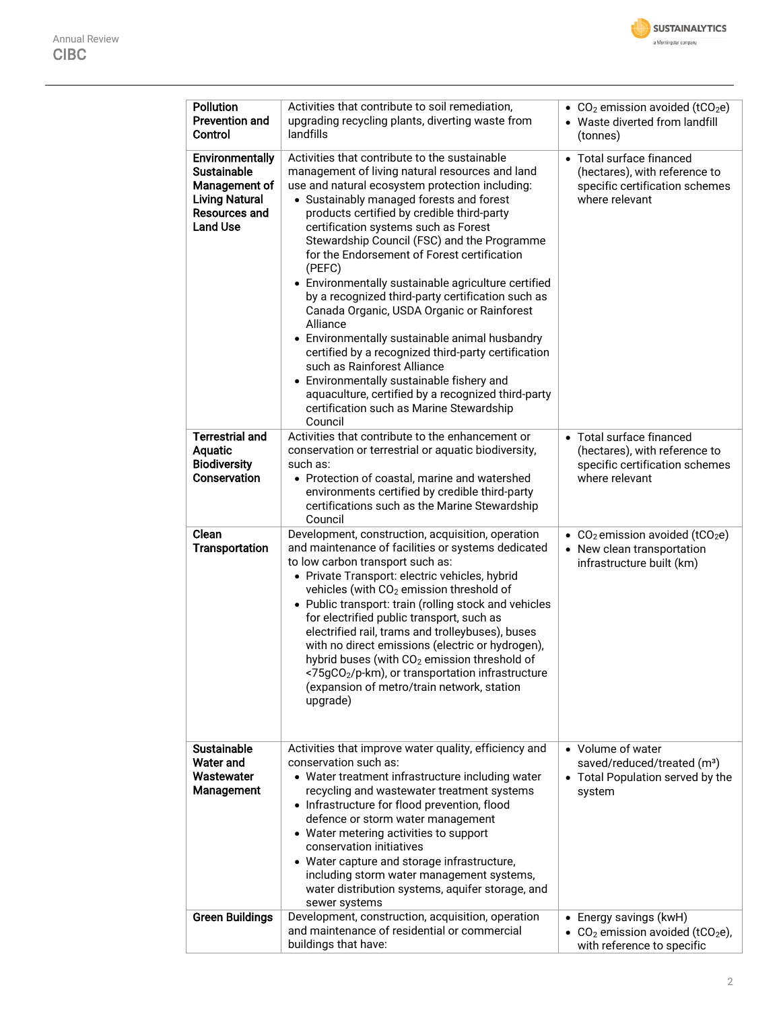| <b>Pollution</b><br><b>Prevention and</b><br>Control                                                                              | Activities that contribute to soil remediation,<br>upgrading recycling plants, diverting waste from<br>landfills                                                                                                                                                                                                                                                                                                                                                                                                                                                                                                                                                                                                                                                                                                                                                      | • CO <sub>2</sub> emission avoided (tCO <sub>2</sub> e)<br>• Waste diverted from landfill<br>(tonnes)             |  |  |  |
|-----------------------------------------------------------------------------------------------------------------------------------|-----------------------------------------------------------------------------------------------------------------------------------------------------------------------------------------------------------------------------------------------------------------------------------------------------------------------------------------------------------------------------------------------------------------------------------------------------------------------------------------------------------------------------------------------------------------------------------------------------------------------------------------------------------------------------------------------------------------------------------------------------------------------------------------------------------------------------------------------------------------------|-------------------------------------------------------------------------------------------------------------------|--|--|--|
| <b>Environmentally</b><br><b>Sustainable</b><br>Management of<br><b>Living Natural</b><br><b>Resources and</b><br><b>Land Use</b> | Activities that contribute to the sustainable<br>management of living natural resources and land<br>use and natural ecosystem protection including:<br>• Sustainably managed forests and forest<br>products certified by credible third-party<br>certification systems such as Forest<br>Stewardship Council (FSC) and the Programme<br>for the Endorsement of Forest certification<br>(PEFC)<br>• Environmentally sustainable agriculture certified<br>by a recognized third-party certification such as<br>Canada Organic, USDA Organic or Rainforest<br>Alliance<br>• Environmentally sustainable animal husbandry<br>certified by a recognized third-party certification<br>such as Rainforest Alliance<br>• Environmentally sustainable fishery and<br>aquaculture, certified by a recognized third-party<br>certification such as Marine Stewardship<br>Council | • Total surface financed<br>(hectares), with reference to<br>specific certification schemes<br>where relevant     |  |  |  |
| <b>Terrestrial and</b><br><b>Aquatic</b><br><b>Biodiversity</b><br>Conservation                                                   | Activities that contribute to the enhancement or<br>conservation or terrestrial or aquatic biodiversity,<br>such as:<br>• Protection of coastal, marine and watershed<br>environments certified by credible third-party<br>certifications such as the Marine Stewardship<br>Council                                                                                                                                                                                                                                                                                                                                                                                                                                                                                                                                                                                   | • Total surface financed<br>(hectares), with reference to<br>specific certification schemes<br>where relevant     |  |  |  |
| Clean<br>Transportation                                                                                                           | Development, construction, acquisition, operation<br>and maintenance of facilities or systems dedicated<br>to low carbon transport such as:<br>• Private Transport: electric vehicles, hybrid<br>vehicles (with CO <sub>2</sub> emission threshold of<br>• Public transport: train (rolling stock and vehicles<br>for electrified public transport, such as<br>electrified rail, trams and trolleybuses), buses<br>with no direct emissions (electric or hydrogen),<br>hybrid buses (with CO <sub>2</sub> emission threshold of<br><75gCO <sub>2</sub> /p-km), or transportation infrastructure<br>(expansion of metro/train network, station<br>upgrade)                                                                                                                                                                                                             | • $CO2$ emission avoided (tCO <sub>2</sub> e)<br>• New clean transportation<br>infrastructure built (km)          |  |  |  |
| <b>Sustainable</b><br><b>Water and</b><br>Wastewater<br>Management                                                                | Activities that improve water quality, efficiency and<br>conservation such as:<br>• Water treatment infrastructure including water<br>recycling and wastewater treatment systems<br>• Infrastructure for flood prevention, flood<br>defence or storm water management<br>• Water metering activities to support<br>conservation initiatives<br>• Water capture and storage infrastructure,<br>including storm water management systems,<br>water distribution systems, aquifer storage, and<br>sewer systems                                                                                                                                                                                                                                                                                                                                                          | • Volume of water<br>saved/reduced/treated (m <sup>3</sup> )<br>• Total Population served by the<br>system        |  |  |  |
| <b>Green Buildings</b>                                                                                                            | Development, construction, acquisition, operation<br>and maintenance of residential or commercial<br>buildings that have:                                                                                                                                                                                                                                                                                                                                                                                                                                                                                                                                                                                                                                                                                                                                             | • Energy savings (kwH)<br>$CO2$ emission avoided (tCO <sub>2</sub> e),<br>$\bullet$<br>with reference to specific |  |  |  |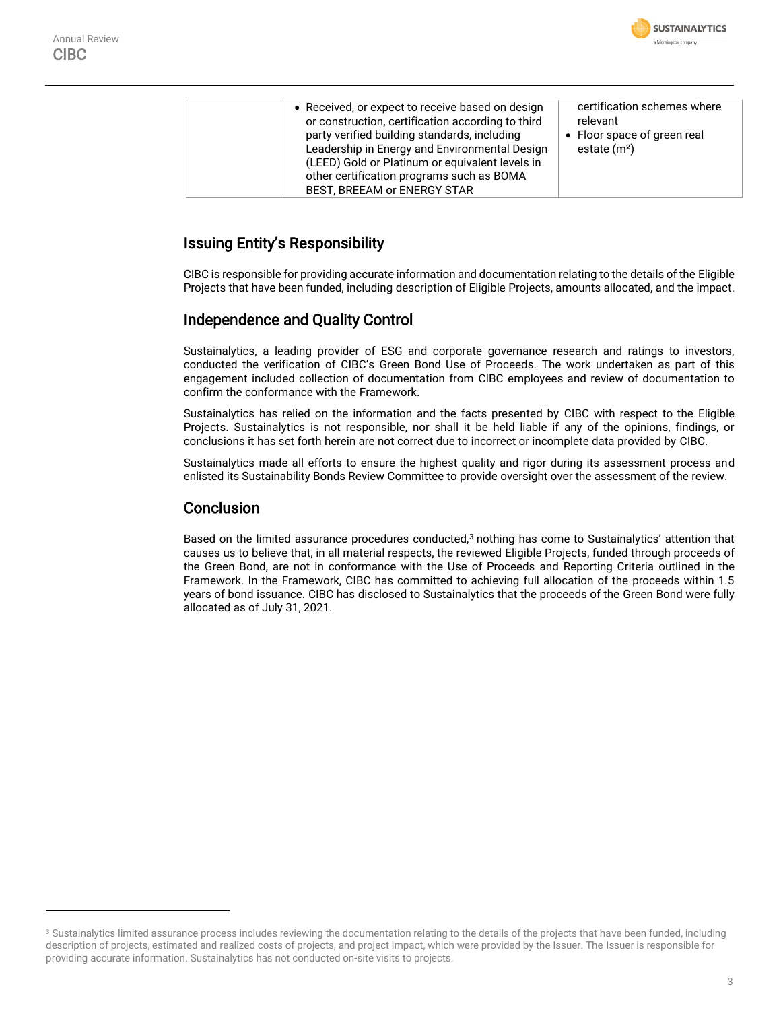

| • Received, or expect to receive based on design<br>or construction, certification according to third<br>party verified building standards, including<br>Leadership in Energy and Environmental Design<br>(LEED) Gold or Platinum or equivalent levels in<br>other certification programs such as BOMA | certification schemes where<br>relevant<br>• Floor space of green real<br>estate $(m2)$ |
|--------------------------------------------------------------------------------------------------------------------------------------------------------------------------------------------------------------------------------------------------------------------------------------------------------|-----------------------------------------------------------------------------------------|
| BEST, BREEAM or ENERGY STAR                                                                                                                                                                                                                                                                            |                                                                                         |
|                                                                                                                                                                                                                                                                                                        |                                                                                         |

### Issuing Entity's Responsibility

CIBC is responsible for providing accurate information and documentation relating to the details of the Eligible Projects that have been funded, including description of Eligible Projects, amounts allocated, and the impact.

### Independence and Quality Control

Sustainalytics, a leading provider of ESG and corporate governance research and ratings to investors, conducted the verification of CIBC's Green Bond Use of Proceeds. The work undertaken as part of this engagement included collection of documentation from CIBC employees and review of documentation to confirm the conformance with the Framework.

Sustainalytics has relied on the information and the facts presented by CIBC with respect to the Eligible Projects. Sustainalytics is not responsible, nor shall it be held liable if any of the opinions, findings, or conclusions it has set forth herein are not correct due to incorrect or incomplete data provided by CIBC.

Sustainalytics made all efforts to ensure the highest quality and rigor during its assessment process and enlisted its Sustainability Bonds Review Committee to provide oversight over the assessment of the review.

#### Conclusion

Based on the limited assurance procedures conducted,<sup>3</sup> nothing has come to Sustainalytics' attention that causes us to believe that, in all material respects, the reviewed Eligible Projects, funded through proceeds of the Green Bond, are not in conformance with the Use of Proceeds and Reporting Criteria outlined in the Framework. In the Framework, CIBC has committed to achieving full allocation of the proceeds within 1.5 years of bond issuance. CIBC has disclosed to Sustainalytics that the proceeds of the Green Bond were fully allocated as of July 31, 2021.

<sup>&</sup>lt;sup>3</sup> Sustainalytics limited assurance process includes reviewing the documentation relating to the details of the projects that have been funded, including description of projects, estimated and realized costs of projects, and project impact, which were provided by the Issuer. The Issuer is responsible for providing accurate information. Sustainalytics has not conducted on-site visits to projects.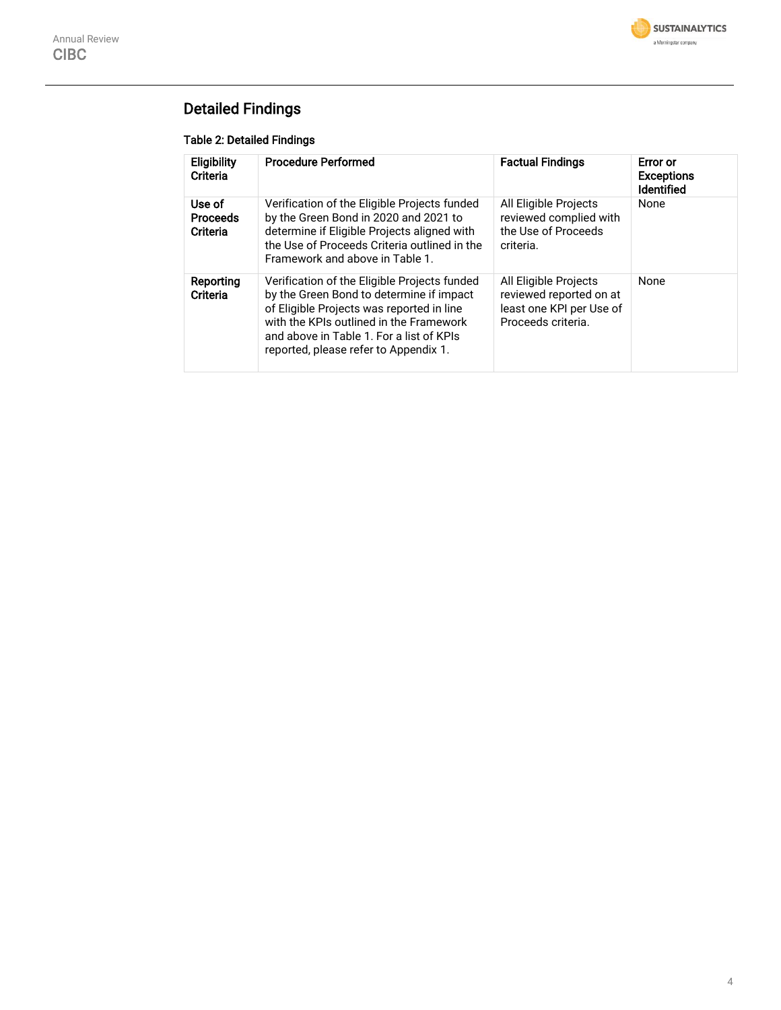

### Detailed Findings

#### Table 2: Detailed Findings

| Eligibility<br>Criteria               | <b>Procedure Performed</b>                                                                                                                                                                                                                                            | <b>Factual Findings</b>                                                                            | Error or<br><b>Exceptions</b><br><b>Identified</b> |
|---------------------------------------|-----------------------------------------------------------------------------------------------------------------------------------------------------------------------------------------------------------------------------------------------------------------------|----------------------------------------------------------------------------------------------------|----------------------------------------------------|
| Use of<br><b>Proceeds</b><br>Criteria | Verification of the Eligible Projects funded<br>by the Green Bond in 2020 and 2021 to<br>determine if Eligible Projects aligned with<br>the Use of Proceeds Criteria outlined in the<br>Framework and above in Table 1.                                               | All Eligible Projects<br>reviewed complied with<br>the Use of Proceeds<br>criteria.                | None                                               |
| Reporting<br>Criteria                 | Verification of the Eligible Projects funded<br>by the Green Bond to determine if impact<br>of Eligible Projects was reported in line<br>with the KPIs outlined in the Framework<br>and above in Table 1. For a list of KPIs<br>reported, please refer to Appendix 1. | All Eligible Projects<br>reviewed reported on at<br>least one KPI per Use of<br>Proceeds criteria. | None                                               |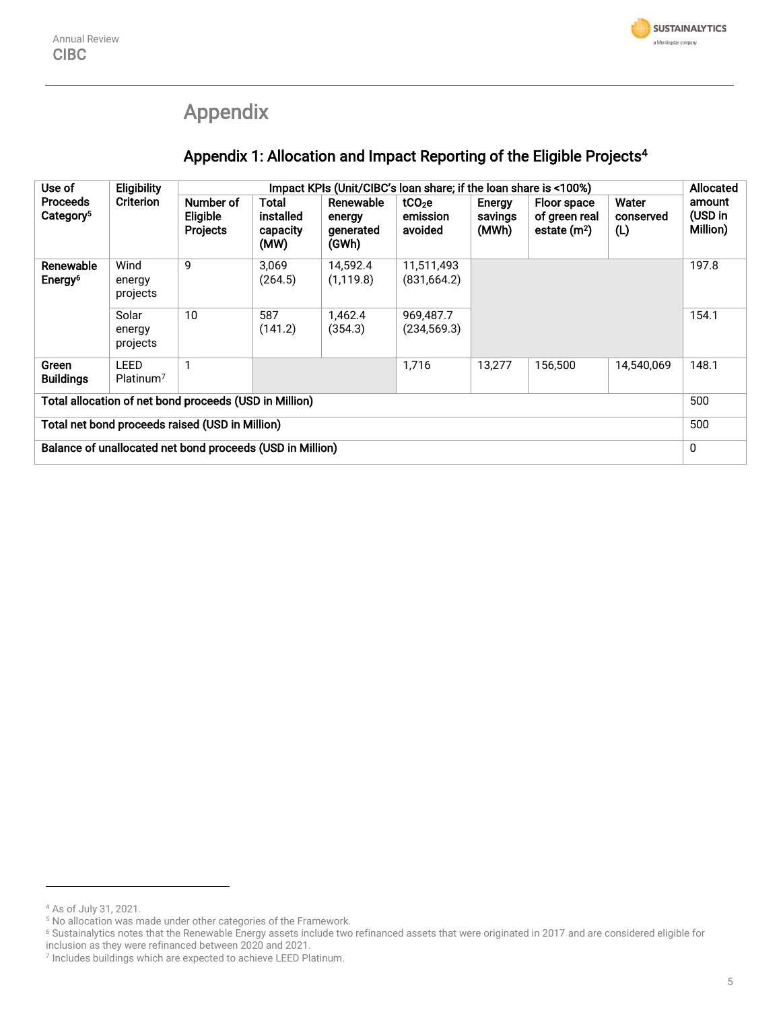## Appendix

### Appendix 1: Allocation and Impact Reporting of the Eligible Projects<sup>4</sup>

| Use of                                                    | <b>Eligibility</b><br><b>Criterion</b> | Impact KPIs (Unit/CIBC's loan share; if the loan share is <100%) |                                        |                                           |                                           |                            |                                               | <b>Allocated</b>          |                               |
|-----------------------------------------------------------|----------------------------------------|------------------------------------------------------------------|----------------------------------------|-------------------------------------------|-------------------------------------------|----------------------------|-----------------------------------------------|---------------------------|-------------------------------|
| <b>Proceeds</b><br>Category <sup>5</sup>                  |                                        | Number of<br>Eligible<br><b>Projects</b>                         | Total<br>installed<br>capacity<br>(MW) | Renewable<br>energy<br>generated<br>(GWh) | tCO <sub>2</sub> e<br>emission<br>avoided | Energy<br>savings<br>(MWh) | Floor space<br>of green real<br>estate $(m2)$ | Water<br>conserved<br>(L) | amount<br>(USD in<br>Million) |
| Renewable<br>Energy <sup>6</sup>                          | Wind<br>energy<br>projects             | 9                                                                | 3,069<br>(264.5)                       | 14,592.4<br>(1, 119.8)                    | 11,511,493<br>(831, 664.2)                |                            |                                               |                           | 197.8                         |
|                                                           | Solar<br>energy<br>projects            | 10                                                               | 587<br>(141.2)                         | 1,462.4<br>(354.3)                        | 969,487.7<br>(234, 569.3)                 |                            |                                               |                           | 154.1                         |
| Green<br><b>Buildings</b>                                 | LEED<br>Platinum <sup>7</sup>          |                                                                  |                                        |                                           | 1,716                                     | 13,277                     | 156,500                                       | 14,540,069                | 148.1                         |
| Total allocation of net bond proceeds (USD in Million)    |                                        |                                                                  |                                        |                                           |                                           | 500                        |                                               |                           |                               |
| Total net bond proceeds raised (USD in Million)           |                                        |                                                                  |                                        |                                           |                                           | 500                        |                                               |                           |                               |
| Balance of unallocated net bond proceeds (USD in Million) |                                        |                                                                  |                                        |                                           |                                           | $\mathbf 0$                |                                               |                           |                               |

<sup>4</sup> As of July 31, 2021.

<sup>&</sup>lt;sup>5</sup> No allocation was made under other categories of the Framework.

<sup>6</sup> Sustainalytics notes that the Renewable Energy assets include two refinanced assets that were originated in 2017 and are considered eligible for

inclusion as they were refinanced between 2020 and 2021. 7 Includes buildings which are expected to achieve LEED Platinum.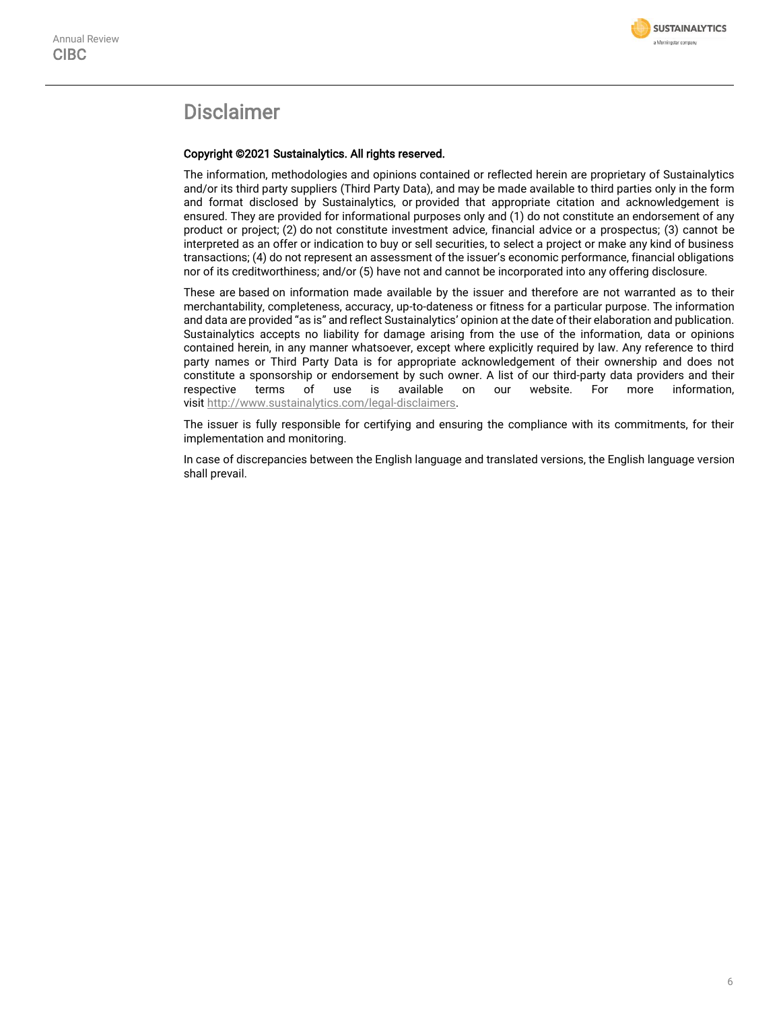

### Disclaimer

#### Copyright ©2021 Sustainalytics. All rights reserved.

The information, methodologies and opinions contained or reflected herein are proprietary of Sustainalytics and/or its third party suppliers (Third Party Data), and may be made available to third parties only in the form and format disclosed by Sustainalytics, or provided that appropriate citation and acknowledgement is ensured. They are provided for informational purposes only and (1) do not constitute an endorsement of any product or project; (2) do not constitute investment advice, financial advice or a prospectus; (3) cannot be interpreted as an offer or indication to buy or sell securities, to select a project or make any kind of business transactions; (4) do not represent an assessment of the issuer's economic performance, financial obligations nor of its creditworthiness; and/or (5) have not and cannot be incorporated into any offering disclosure.

These are based on information made available by the issuer and therefore are not warranted as to their merchantability, completeness, accuracy, up-to-dateness or fitness for a particular purpose. The information and data are provided "as is" and reflect Sustainalytics' opinion at the date of their elaboration and publication. Sustainalytics accepts no liability for damage arising from the use of the information, data or opinions contained herein, in any manner whatsoever, except where explicitly required by law. Any reference to third party names or Third Party Data is for appropriate acknowledgement of their ownership and does not constitute a sponsorship or endorsement by such owner. A list of our third-party data providers and their respective terms of use is available on our website. For more information, visit [http://www.sustainalytics.com/legal-disclaimers.](http://www.sustainalytics.com/legal-disclaimers)

The issuer is fully responsible for certifying and ensuring the compliance with its commitments, for their implementation and monitoring.

In case of discrepancies between the English language and translated versions, the English language version shall prevail.